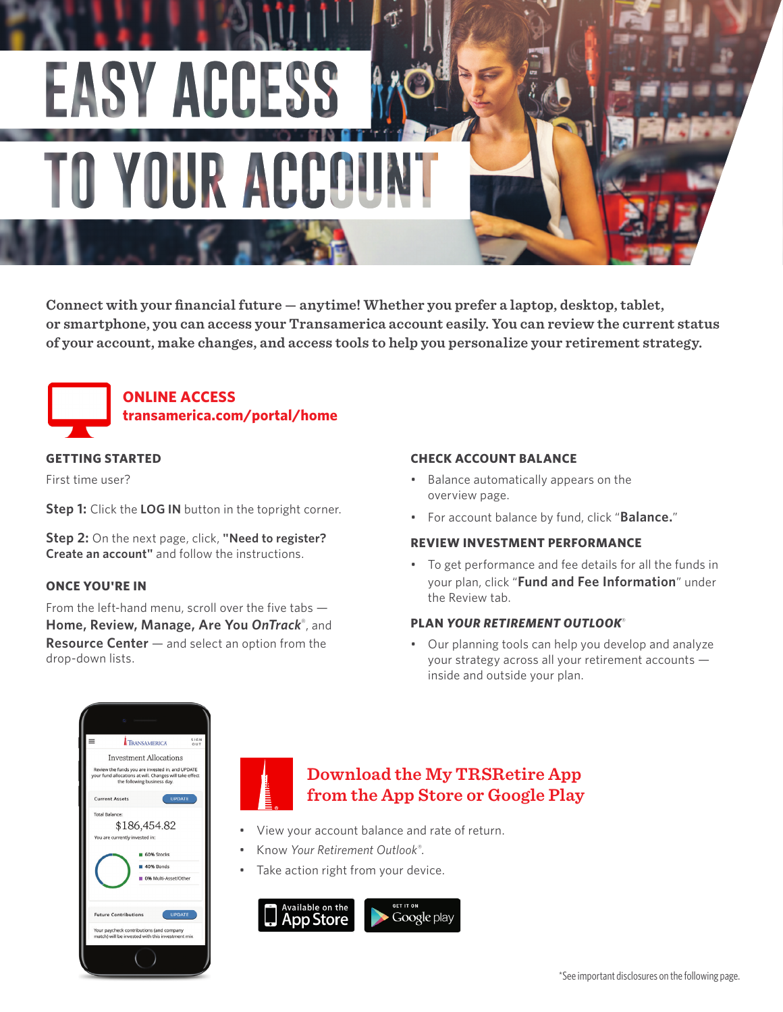

**Connect with your financial future — anytime! Whether you prefer a laptop, desktop, tablet, or smartphone, you can access your Transamerica account easily. You can review the current status of your account, make changes, and access tools to help you personalize your retirement strategy.** 



**ONLINE ACCESS transamerica.com/portal/home**

## **GETTING STARTED**

First time user?

**Step 1:** Click the **LOG IN** button in the topright corner.

**Step 2:** On the next page, click, **"Need to register? Create an account"** and follow the instructions.

### **ONCE YOU'RE IN**

From the left-hand menu, scroll over the five tabs — **Home, Review, Manage, Are You** *OnTrack*®, and **Resource Center** — and select an option from the drop-down lists.

### **CHECK ACCOUNT BALANCE**

- Balance automatically appears on the overview page.
- For account balance by fund, click "**Balance.**"

### **REVIEW INVESTMENT PERFORMANCE**

• To get performance and fee details for all the funds in your plan, click "**Fund and Fee Information**" under the Review tab.

#### **PLAN** *YOUR RETIREMENT OUTLOOK*®

• Our planning tools can help you develop and analyze your strategy across all your retirement accounts inside and outside your plan.



# **Download the My TRSRetire App from the App Store or Google Play**

- View your account balance and rate of return.
- Know *Your Retirement Outlook® .*
- Take action right from your device.